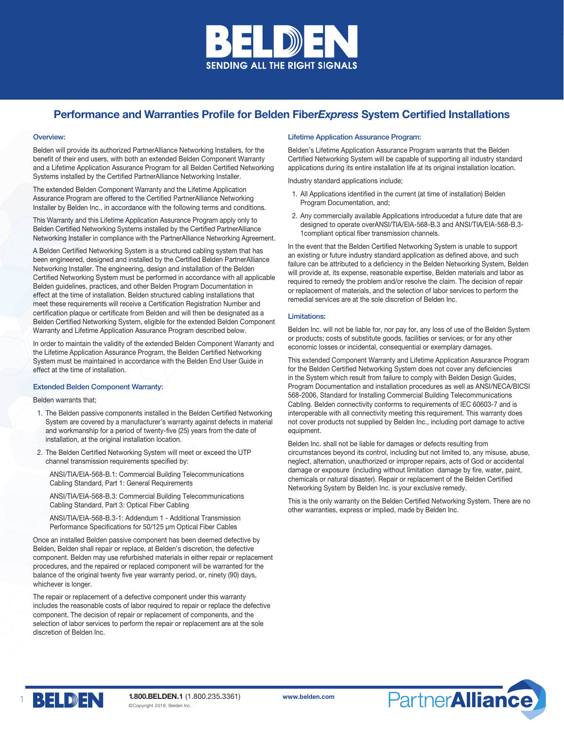

# Performance and Warranties Profile for Belden Fiber*Express* System Certified Installations

### Overview:

Belden will provide its authorized PartnerAlliance Networking Installers, for the benefit of their end users, with both an extended Belden Component Warranty and a Lifetime Application Assurance Program for all Belden Certified Networking Systems installed by the Certified PartnerAlliance Networking Installer.

The extended Belden Component Warranty and the Lifetime Application Assurance Program are offered to the Certified PartnerAlliance Networking Installer by Belden Inc., in accordance with the following terms and conditions.

This Warranty and this Lifetime Application Assurance Program apply only to Belden Certified Networking Systems installed by the Certified PartnerAlliance Networking Installer in compliance with the PartnerAlliance Networking Agreement.

A Belden Certified Networking System is a structured cabling system that has been engineered, designed and installed by the Certified Belden PartnerAlliance Networking Installer. The engineering, design and installation of the Belden Certified Networking System must be performed in accordance with all applicable Belden guidelines, practices, and other Belden Program Documentation in effect at the time of installation. Belden structured cabling installations that meet these requirements will receive a Certification Registration Number and certification plaque or certificate from Belden and will then be designated as a Belden Certified Networking System, eligible for the extended Belden Component Warranty and Lifetime Application Assurance Program described below.

In order to maintain the validity of the extended Belden Component Warranty and the Lifetime Application Assurance Program, the Belden Certified Networking System must be maintained in accordance with the Belden End User Guide in effect at the time of installation.

# Extended Belden Component Warranty:

Belden warrants that;

- 1. The Belden passive components installed in the Belden Certified Networking System are covered by a manufacturer's warranty against defects in material and workmanship for a period of twenty-five (25) years from the date of installation, at the original installation location.
- 2. The Belden Certified Networking System will meet or exceed the UTP channel transmission requirements specified by:

ANSI/TIA/EIA-568-B.1: Commercial Building Telecommunications Cabling Standard, Part 1: General Requirements

ANSI/TIA/EIA-568-B.3: Commercial Building Telecommunications Cabling Standard, Part 3: Optical Fiber Cabling

ANSI/TIA/EIA-568-B.3-1: Addendum 1 - Additional Transmission Performance Specifications for 50/125 μm Optical Fiber Cables

Once an installed Belden passive component has been deemed defective by Belden, Belden shall repair or replace, at Belden's discretion, the defective component. Belden may use refurbished materials in either repair or replacement procedures, and the repaired or replaced component will be warranted for the balance of the original twenty five year warranty period, or, ninety (90) days, whichever is longer.

The repair or replacement of a defective component under this warranty includes the reasonable costs of labor required to repair or replace the defective component. The decision of repair or replacement of components, and the selection of labor services to perform the repair or replacement are at the sole discretion of Belden Inc.

# Lifetime Application Assurance Program:

Belden's Lifetime Application Assurance Program warrants that the Belden Certified Networking System will be capable of supporting all industry standard applications during its entire installation life at its original installation location.

Industry standard applications include;

- 1. All Applications identified in the current (at time of installation) Belden Program Documentation, and;
- 2. Any commercially available Applications introducedat a future date that are designed to operate overANSI/TIA/EIA-568-B.3 and ANSI/TIA/EIA-568-B.3- 1compliant optical fiber transmission channels.

In the event that the Belden Certified Networking System is unable to support an existing or future industry standard application as defined above, and such failure can be attributed to a deficiency in the Belden Networking System, Belden will provide at, its expense, reasonable expertise, Belden materials and labor as required to remedy the problem and/or resolve the claim. The decision of repair or replacement of materials, and the selection of labor services to perform the remedial services are at the sole discretion of Belden Inc.

#### Limitations:

Belden Inc. will not be liable for, nor pay for, any loss of use of the Belden System or products; costs of substitute goods, facilities or services; or for any other economic losses or incidental, consequential or exemplary damages.

This extended Component Warranty and Lifetime Application Assurance Program for the Belden Certified Networking System does not cover any deficiencies in the System which result from failure to comply with Belden Design Guides, Program Documentation and installation procedures as well as ANSI/NECA/BICSI 568-2006, Standard for Installing Commercial Building Telecommunications Cabling. Belden connectivity conforms to requirements of IEC 60603-7 and is interoperable with all connectivity meeting this requirement. This warranty does not cover products not supplied by Belden Inc., including port damage to active equipment.

Belden Inc. shall not be liable for damages or defects resulting from circumstances beyond its control, including but not limited to, any misuse, abuse, neglect, alternation, unauthorized or improper repairs, acts of God or accidental damage or exposure (including without limitation damage by fire, water, paint, chemicals or natural disaster). Repair or replacement of the Belden Certified Networking System by Belden Inc. is your exclusive remedy.

This is the only warranty on the Belden Certified Networking System. There are no other warranties, express or implied, made by Belden Inc.